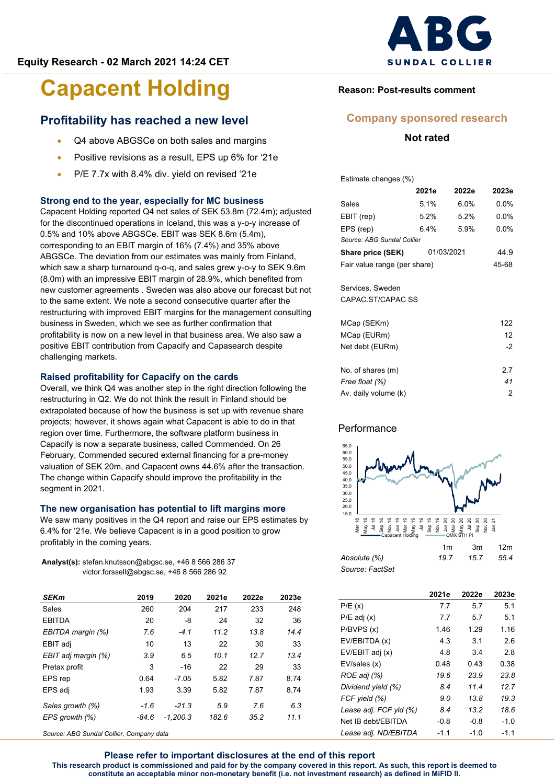# **Profitability has reached a new level**

- Q4 above ABGSCe on both sales and margins
- Positive revisions as a result, EPS up 6% for '21e
- P/E 7.7x with 8.4% div. yield on revised '21e

#### **Strong end to the year, especially for MC business**

Capacent Holding reported Q4 net sales of SEK 53.8m (72.4m); adjusted for the discontinued operations in Iceland, this was a y-o-y increase of 0.5% and 10% above ABGSCe. EBIT was SEK 8.6m (5.4m), corresponding to an EBIT margin of 16% (7.4%) and 35% above ABGSCe. The deviation from our estimates was mainly from Finland, which saw a sharp turnaround q-o-q, and sales grew y-o-y to SEK 9.6m (8.0m) with an impressive EBIT margin of 28.9%, which benefited from new customer agreements . Sweden was also above our forecast but not to the same extent. We note a second consecutive quarter after the restructuring with improved EBIT margins for the management consulting business in Sweden, which we see as further confirmation that profitability is now on a new level in that business area. We also saw a positive EBIT contribution from Capacify and Capasearch despite challenging markets.

#### **Raised profitability for Capacify on the cards**

Overall, we think Q4 was another step in the right direction following the restructuring in Q2. We do not think the result in Finland should be extrapolated because of how the business is set up with revenue share projects; however, it shows again what Capacent is able to do in that region over time. Furthermore, the software platform business in Capacify is now a separate business, called Commended. On 26 February, Commended secured external financing for a pre-money valuation of SEK 20m, and Capacent owns 44.6% after the transaction. The change within Capacify should improve the profitability in the segment in 2021.

#### **The new organisation has potential to lift margins more**

We saw many positives in the Q4 report and raise our EPS estimates by 6.4% for '21e. We believe Capacent is in a good position to grow profitably in the coming years.

**Analyst(s):** stefan.knutsson@abgsc.se, +46 8 566 286 37 victor.forssell@abgsc.se, +46 8 566 286 92

| <b>SEKm</b>         | 2019   | 2020       | 2021e | 2022e | 2023e |
|---------------------|--------|------------|-------|-------|-------|
| Sales               | 260    | 204        | 217   | 233   | 248   |
| <b>EBITDA</b>       | 20     | -8         | 24    | 32    | 36    |
| EBITDA margin (%)   | 7.6    | $-4.1$     | 11.2  | 13.8  | 14.4  |
| EBIT adj            | 10     | 13         | 22    | 30    | 33    |
| EBIT adj margin (%) | 3.9    | 6.5        | 10.1  | 12.7  | 13.4  |
| Pretax profit       | 3      | $-16$      | 22    | 29    | 33    |
| EPS rep             | 0.64   | $-7.05$    | 5.82  | 7.87  | 8.74  |
| EPS adj             | 1.93   | 3.39       | 5.82  | 7.87  | 8.74  |
| Sales growth (%)    | $-1.6$ | $-21.3$    | 5.9   | 7.6   | 6.3   |
| EPS growth (%)      | -84.6  | $-1.200.3$ | 182.6 | 35.2  | 11.1  |

*Source: ABG Sundal Collier, Company data*



## **Reason: Post-results comment**

## **Company sponsored research**

**Not rated**

Estimate changes (%)

|                              | 2021e   | 2022e   | 2023e   |
|------------------------------|---------|---------|---------|
| Sales                        | 5.1%    | $6.0\%$ | $0.0\%$ |
| EBIT (rep)                   | $5.2\%$ | $5.2\%$ | $0.0\%$ |
| EPS (rep)                    | $6.4\%$ | 5.9%    | $0.0\%$ |
| Source: ABG Sundal Collier   |         |         |         |
| Share price (SEK)            | 44.9    |         |         |
| Fair value range (per share) | 45-68   |         |         |
|                              |         |         |         |
| Services, Sweden             |         |         |         |
| CAPAC ST/CAPAC SS            |         |         |         |
|                              |         |         |         |
| MCap (SEKm)                  |         |         | 122     |
| MCap (EURm)                  |         |         | 12      |
| Net debt (EURm)              |         |         | $-2$    |
|                              |         |         |         |

| No. of shares (m)    | 27 |
|----------------------|----|
| Free float (%)       | 41 |
| Av. daily volume (k) | 2  |

### **Performance**



|                 | 1m  | .3m  | 12m  |
|-----------------|-----|------|------|
| Absolute (%)    | 197 | 15.7 | 55.4 |
| Source: FactSet |     |      |      |

|                        | 2021e  | 2022e  | 2023e  |
|------------------------|--------|--------|--------|
| P/E(x)                 | 7.7    | 5.7    | 5.1    |
| $P/E$ adj $(x)$        | 7.7    | 5.7    | 5.1    |
| P/BVPS(x)              | 1.46   | 1.29   | 1.16   |
| EV/EBITDA (x)          | 4.3    | 3.1    | 2.6    |
| EV/EBIT adj (x)        | 4.8    | 3.4    | 2.8    |
| EV/sales (x)           | 0.48   | 0.43   | 0.38   |
| ROE adj (%)            | 19.6   | 23.9   | 23.8   |
| Dividend yield (%)     | 8.4    | 11.4   | 12.7   |
| FCF yield (%)          | 9.0    | 13.8   | 19.3   |
| Lease adj. FCF yld (%) | 8.4    | 13.2   | 18.6   |
| Net IB debt/EBITDA     | $-0.8$ | $-0.8$ | $-1.0$ |
| Lease adj. ND/EBITDA   | $-1.1$ | $-1.0$ | $-1.1$ |

**Please refer to important disclosures at the end of this report This research product is commissioned and paid for by the company covered in this report. As such, this report is deemed to constitute an acceptable minor non-monetary benefit (i.e. not investment research) as defined in MiFID II.**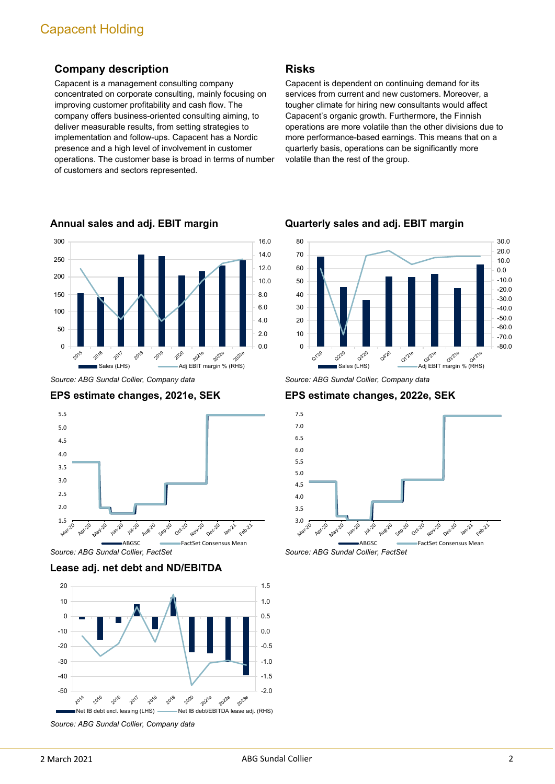# **Company description**

Capacent is a management consulting company concentrated on corporate consulting, mainly focusing on improving customer profitability and cash flow. The company offers business-oriented consulting aiming, to deliver measurable results, from setting strategies to implementation and follow-ups. Capacent has a Nordic presence and a high level of involvement in customer operations. The customer base is broad in terms of number of customers and sectors represented.



**Annual sales and adj. EBIT margin**

*Source: ABG Sundal Collier, Company data*





*Source: ABG Sundal Collier, FactSet*

**Lease adj. net debt and ND/EBITDA**



*Source: ABG Sundal Collier, Company data*

## **Risks**

Capacent is dependent on continuing demand for its services from current and new customers. Moreover, a tougher climate for hiring new consultants would affect Capacent's organic growth. Furthermore, the Finnish operations are more volatile than the other divisions due to more performance-based earnings. This means that on a quarterly basis, operations can be significantly more volatile than the rest of the group.



**Quarterly sales and adj. EBIT margin**

**EPS estimate changes, 2022e, SEK**



*Source: ABG Sundal Collier, FactSet*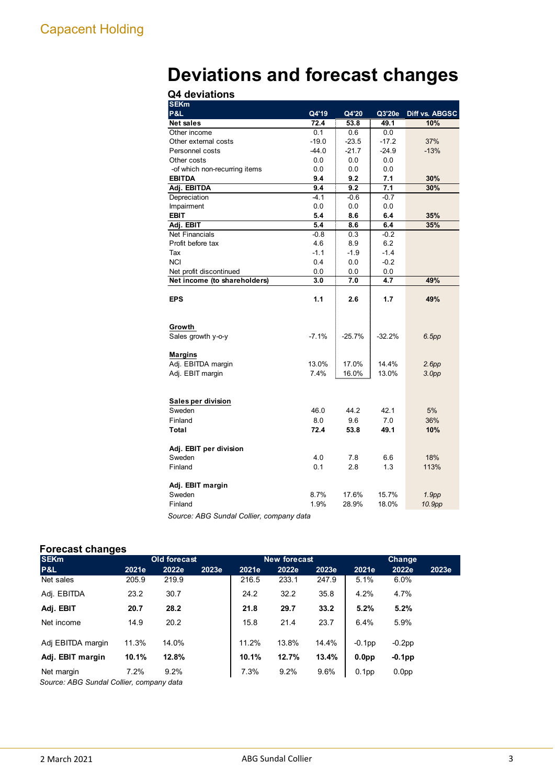# **Deviations and forecast changes Q4 deviations**

| Q4 deviations                 |               |             |          |                   |
|-------------------------------|---------------|-------------|----------|-------------------|
| <b>SEKm</b>                   |               |             |          |                   |
| <b>P&amp;L</b>                | Q4'19         | Q4'20       | Q3'20e   | Diff vs. ABGSC    |
| <b>Net sales</b>              | 72.4          | 53.8        | 49.1     | 10%               |
| Other income                  | 0.1           | 0.6         | 0.0      |                   |
| Other external costs          | $-19.0$       | $-23.5$     | $-17.2$  | 37%               |
| Personnel costs               | $-44.0$       | $-21.7$     | $-24.9$  | $-13%$            |
| Other costs                   | 0.0           | 0.0         | $0.0\,$  |                   |
| -of which non-recurring items | 0.0           | 0.0         | 0.0      |                   |
| <b>EBITDA</b>                 | 9.4           | 9.2         | 7.1      | 30%               |
| Adj. EBITDA                   | 9.4           | 9.2         | 7.1      | 30%               |
| Depreciation                  | $-4.1$        | $-0.6$      | $-0.7$   |                   |
| Impairment                    | 0.0           | 0.0         | 0.0      |                   |
| <b>EBIT</b>                   | 5.4           | 8.6         | 6.4      | 35%               |
| Adj. EBIT                     | 5.4           | 8.6         | 6.4      | 35%               |
| <b>Net Financials</b>         | $-0.8$        | 0.3         | $-0.2$   |                   |
| Profit before tax             | 4.6           | 8.9         | 6.2      |                   |
| Tax                           | $-1.1$        | $-1.9$      | $-1.4$   |                   |
| <b>NCI</b>                    | 0.4           | 0.0         | $-0.2$   |                   |
| Net profit discontinued       | 0.0           | 0.0         | 0.0      |                   |
| Net income (to shareholders)  | 3.0           | 7.0         | 4.7      | 49%               |
| <b>EPS</b>                    | 1.1           | 2.6         | 1.7      | 49%               |
| Growth<br>Sales growth y-o-y  | $-7.1%$       | $-25.7%$    | $-32.2%$ | 6.5pp             |
|                               |               |             |          |                   |
| <b>Margins</b>                |               |             | 14.4%    |                   |
| Adj. EBITDA margin            | 13.0%<br>7.4% | 17.0%       | 13.0%    | 2.6pp             |
| Adj. EBIT margin              |               | 16.0%       |          | 3.0 <sub>pp</sub> |
| Sales per division            |               |             |          |                   |
| Sweden                        | 46.0          | 44.2        | 42.1     | 5%                |
|                               |               |             | 7.0      | 36%               |
| Finland                       | 8.0<br>72.4   | 9.6<br>53.8 | 49.1     |                   |
| Total                         |               |             |          | 10%               |
| Adj. EBIT per division        |               |             |          |                   |
| Sweden                        | 4.0           | 7.8         | 6.6      | 18%               |
| Finland                       | 0.1           | 2.8         | 1.3      | 113%              |
| Adj. EBIT margin              |               |             |          |                   |
| Sweden                        | 8.7%          | 17.6%       | 15.7%    | 1.9 <sub>pp</sub> |
| Finland                       | 1.9%          | 28.9%       | 18.0%    | 10.9pp            |
|                               |               |             |          |                   |

*Source: ABG Sundal Collier, company data*

## **Forecast changes**

| . .<br><b>SEKm</b>                      |       | <b>Old forecast</b> |       |       | <b>New forecast</b> |       | Change            |                   |       |  |
|-----------------------------------------|-------|---------------------|-------|-------|---------------------|-------|-------------------|-------------------|-------|--|
| P&L                                     | 2021e | 2022e               | 2023e | 2021e | 2022e               | 2023e | 2021e             | 2022e             | 2023e |  |
| Net sales                               | 205.9 | 219.9               |       | 216.5 | 233.1               | 247.9 | 5.1%              | $6.0\%$           |       |  |
| Adj. EBITDA                             | 23.2  | 30.7                |       | 24.2  | 32.2                | 35.8  | 4.2%              | 4.7%              |       |  |
| Adj. EBIT                               | 20.7  | 28.2                |       | 21.8  | 29.7                | 33.2  | 5.2%              | 5.2%              |       |  |
| Net income                              | 14.9  | 20.2                |       | 15.8  | 21.4                | 23.7  | 6.4%              | 5.9%              |       |  |
| Adj EBITDA margin                       | 11.3% | 14.0%               |       | 11.2% | 13.8%               | 14.4% | $-0.1$ pp         | $-0.2$ pp         |       |  |
| Adj. EBIT margin                        | 10.1% | 12.8%               |       | 10.1% | 12.7%               | 13.4% | 0.0 <sub>pp</sub> | $-0.1$ pp         |       |  |
| Net margin                              | 7.2%  | 9.2%                |       | 7.3%  | 9.2%                | 9.6%  | 0.1 <sub>pp</sub> | 0.0 <sub>pp</sub> |       |  |
| Source: ARC Sundal Collier company data |       |                     |       |       |                     |       |                   |                   |       |  |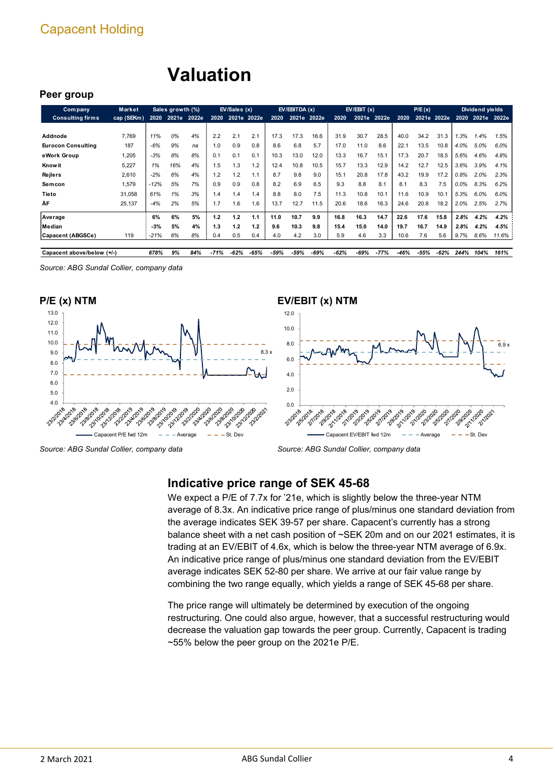# **Valuation**

### **Peer group**

| <b>Company</b>             | <b>Market</b> |        | Sales growth (%) |       |      | EV/Sales (x) |      |      | EV/EBITDA(x) |      |        | EV/EBIT(x) |        |      | P/E(x) |             |         | Dividend yields  |       |
|----------------------------|---------------|--------|------------------|-------|------|--------------|------|------|--------------|------|--------|------------|--------|------|--------|-------------|---------|------------------|-------|
| <b>Consulting firms</b>    | cap (SEKm)    | 2020   | 2021e            | 2022e | 2020 | 2021e 2022e  |      | 2020 | 2021e 2022e  |      | 2020   | 2021e      | 2022e  | 2020 |        | 2021e 2022e |         | 2020 2021e 2022e |       |
|                            |               |        |                  |       |      |              |      |      |              |      |        |            |        |      |        |             |         |                  |       |
| Addnode                    | 7.769         | 11%    | 0%               | 4%    | 2.2  | 2.1          | 2.1  | 17.3 | 17.3         | 16.6 | 31.9   | 30.7       | 28.5   | 40.0 | 34.2   | 31.3        | .3%     | 1.4%             | 1.5%  |
| <b>Eurocon Consulting</b>  | 187           | $-6%$  | 9%               | na    | 1.0  | 0.9          | 0.8  | 8.6  | 6.8          | 5.7  | 17.0   | 11.0       | 8.6    | 22.1 | 13.5   | 10.8        | 4.0%    | 5.0%             | 6.0%  |
| eWork Group                | 1,205         | $-3%$  | 8%               | 8%    | 0.1  | 0.1          | 0.1  | 10.3 | 13.0         | 12.0 | 13.3   | 16.7       | 15.1   | 17.3 | 20.7   | 18.5        | 5.6%    | 4.6%             | 4.8%  |
| <b>Know it</b>             | 5,227         | 1%     | 16%              | 4%    | 1.5  | 1.3          | 1.2  | 12.4 | 10.8         | 10.5 | 15.7   | 13.3       | 12.9   | 14.2 | 12.7   | 12.5        | 3.6%    | 3.9%             | 4.1%  |
| Rejlers                    | 2,610         | $-2%$  | 6%               | 4%    | 1.2  | 1.2          | 1.1  | 8.7  | 9.8          | 9.0  | 15.1   | 20.8       | 17.8   | 43.2 | 19.9   | 17.2        | 0.8%    | 2.0%             | 2.3%  |
| Semcon                     | 1,579         | -12%   | 5%               | 7%    | 0.9  | 0.9          | 0.8  | 8.2  | 6.9          | 6.5  | 9.3    | 8.8        | 8.1    | 8.1  | 8.3    | 7.5         | $0.0\%$ | 8.3%             | 6.2%  |
| Tieto                      | 31,058        | 61%    | 1%               | 3%    | 1.4  | 1.4          | 1.4  | 8.8  | 8.0          | 7.5  | 11.3   | 10.8       | 10.1   | 11.6 | 10.9   | 10.1        | 5.3%    | 6.0%             | 6.0%  |
| ÅF                         | 25,137        | $-4%$  | 2%               | 5%    | 1.7  | 1.6          | 1.6  | 13.7 | 12.7         | 11.5 | 20.6   | 18.6       | 16.3   | 24.6 | 20.8   | 18.2        | 2.0%    | 2.5%             | 2.7%  |
| Average                    |               | 6%     | 6%               | 5%    | 1.2  | 1.2          | 1.1  | 11.0 | 10.7         | 9.9  | 16.8   | 16.3       | 14.7   | 22.6 | 17.6   | 15.8        | 2.8%    | 4.2%             | 4.2%  |
| Median                     |               | $-3%$  | 5%               | 4%    | 1.3  | 1.2          | 1.2  | 9.6  | 10.3         | 9.8  | 15.4   | 15.0       | 14.0   | 19.7 | 16.7   | 14.9        | 2.8%    | 4.2%             | 4.5%  |
| Capacent (ABGSCe)          | 119           | $-21%$ | 6%               | 8%    | 0.4  | 0.5          | 0.4  | 4.0  | 4.2          | 3.0  | 5.9    | 4.6        | 3.3    | 10.6 | 7.6    | 5.6         | 9.7%    | 8.6%             | 11.6% |
| Capacent above/below (+/-) |               | 678%   | 9%               | 84%   | -71% | -62%         | -65% | -59% | -59%         | -69% | $-62%$ | -69%       | $-77%$ | -46% | -55%   | -62%        | 244%    | 104%             | 161%  |

*Source: ABG Sundal Collier, company data*





# **EV/EBIT (x) NTM**



# **Indicative price range of SEK 45-68**

We expect a P/E of 7.7x for '21e, which is slightly below the three-year NTM average of 8.3x. An indicative price range of plus/minus one standard deviation from the average indicates SEK 39-57 per share. Capacent's currently has a strong balance sheet with a net cash position of ~SEK 20m and on our 2021 estimates, it is trading at an EV/EBIT of 4.6x, which is below the three-year NTM average of 6.9x. An indicative price range of plus/minus one standard deviation from the EV/EBIT average indicates SEK 52-80 per share. We arrive at our fair value range by combining the two range equally, which yields a range of SEK 45-68 per share.

The price range will ultimately be determined by execution of the ongoing restructuring. One could also argue, however, that a successful restructuring would decrease the valuation gap towards the peer group. Currently, Capacent is trading ~55% below the peer group on the 2021e P/E.

*Source: ABG Sundal Collier, company data*

*Source: ABG Sundal Collier, company data*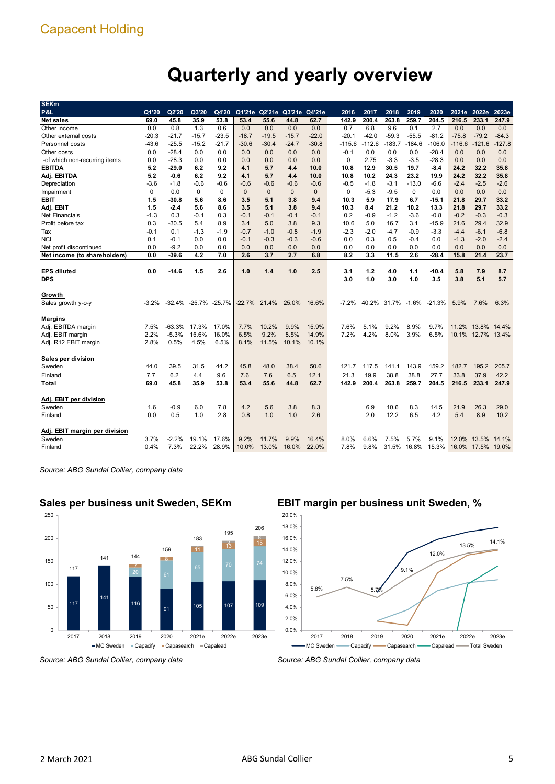# **Quarterly and yearly overview**

| <b>SEKm</b>                   |          |         |                      |             |                 |              |                             |              |          |          |                   |                   |          |          |                   |          |
|-------------------------------|----------|---------|----------------------|-------------|-----------------|--------------|-----------------------------|--------------|----------|----------|-------------------|-------------------|----------|----------|-------------------|----------|
| P&L                           | Q1'20    | Q2'20   | Q3'20                | Q4'20       |                 |              | Q1'21e Q2'21e Q3'21e Q4'21e |              | 2016     | 2017     | 2018              | 2019              | 2020     |          | 2021e 2022e       | 2023e    |
| Net sales                     | 69.0     | 45.8    | 35.9                 | 53.8        | 53.4            | 55.6         | 44.8                        | 62.7         | 142.9    | 200.4    | 263.8             | 259.7             | 204.5    | 216.5    | 233.1             | 247.9    |
| Other income                  | 0.0      | 0.8     | 1.3                  | 0.6         | 0.0             | 0.0          | 0.0                         | 0.0          | 0.7      | 6.8      | 9.6               | 0.1               | 2.7      | 0.0      | 0.0               | 0.0      |
| Other external costs          | -20.3    | $-21.7$ | $-15.7$              | $-23.5$     | $-18.7$         | $-19.5$      | $-15.7$                     | $-22.0$      | $-20.1$  | $-42.0$  | $-59.3$           | $-55.5$           | $-81.2$  | $-75.8$  | $-79.2$           | $-84.3$  |
| Personnel costs               | -43.6    | $-25.5$ | $-15.2$              | $-21.7$     | $-30.6$         | $-30.4$      | $-24.7$                     | $-30.8$      | $-115.6$ | $-112.6$ | $-183.7$          | $-184.6$          | $-106.0$ | $-116.6$ | $-121.6$          | $-127.8$ |
| Other costs                   | 0.0      | $-28.4$ | 0.0                  | 0.0         | 0.0             | 0.0          | 0.0                         | 0.0          | $-0.1$   | 0.0      | 0.0               | 0.0               | $-28.4$  | 0.0      | 0.0               | 0.0      |
| -of which non-recurring items | 0.0      | $-28.3$ | 0.0                  | 0.0         | 0.0             | 0.0          | 0.0                         | 0.0          | 0        | 2.75     | $-3.3$            | $-3.5$            | $-28.3$  | 0.0      | 0.0               | 0.0      |
| <b>EBITDA</b>                 | 5.2      | -29.0   | 6.2                  | 9.2         | 4.1             | 5.7          | 4.4                         | 10.0         | 10.8     | 12.9     | 30.5              | 19.7              | -8.4     | 24.2     | 32.2              | 35.8     |
| Adj. EBITDA                   | 5.2      | -0.6    | 6.2                  | 9.2         | 4.1             | 5.7          | 4.4                         | 10.0         | 10.8     | 10.2     | 24.3              | 23.2              | 19.9     | 24.2     | 32.2              | 35.8     |
| Depreciation                  | $-3.6$   | $-1.8$  | $-0.6$               | $-0.6$      | $-0.6$          | $-0.6$       | $-0.6$                      | $-0.6$       | $-0.5$   | $-1.8$   | $-3.1$            | $-13.0$           | $-6.6$   | $-2.4$   | $-2.5$            | $-2.6$   |
| Impairment                    | $\Omega$ | 0.0     | 0                    | $\Omega$    | $\mathbf{0}$    | $\mathbf{0}$ | $\mathbf{0}$                | $\mathbf{0}$ | 0        | $-5.3$   | $-9.5$            | 0                 | 0.0      | 0.0      | 0.0               | 0.0      |
| <b>EBIT</b>                   | 1.5      | -30.8   | 5.6                  | 8.6         | 3.5             | 5.1          | 3.8                         | 9.4          | 10.3     | 5.9      | 17.9              | 6.7               | $-15.1$  | 21.8     | 29.7              | 33.2     |
| Adj. EBIT                     | 1.5      | $-2.4$  | 5.6                  | 8.6         | 3.5             | 5.1          | 3.8                         | 9.4          | 10.3     | 8.4      | 21.2              | 10.2              | 13.3     | 21.8     | 29.7              | 33.2     |
| <b>Net Financials</b>         | $-1.3$   | 0.3     | $-0.1$               | 0.3         | $-0.1$          | $-0.1$       | $-0.1$                      | $-0.1$       | 0.2      | $-0.9$   | $-1.2$            | $-3.6$            | $-0.8$   | $-0.2$   | $-0.3$            | $-0.3$   |
| Profit before tax             | 0.3      | $-30.5$ | 5.4                  | 8.9         | 3.4             | 5.0          | 3.8                         | 9.3          | 10.6     | 5.0      | 16.7              | 3.1               | $-15.9$  | 21.6     | 29.4              | 32.9     |
| Tax                           | $-0.1$   | 0.1     | $-1.3$               | $-1.9$      | $-0.7$          | $-1.0$       | $-0.8$                      | $-1.9$       | $-2.3$   | $-2.0$   | $-4.7$            | $-0.9$            | $-3.3$   | $-4.4$   | $-6.1$            | $-6.8$   |
| <b>NCI</b>                    | 0.1      | $-0.1$  | 0.0                  | 0.0         | $-0.1$          | $-0.3$       | $-0.3$                      | $-0.6$       | 0.0      | 0.3      | 0.5               | $-0.4$            | 0.0      | $-1.3$   | $-2.0$            | $-2.4$   |
| Net profit discontinued       | 0.0      | $-9.2$  | 0.0                  | 0.0         | 0.0             | 0.0          | 0.0                         | 0.0          | 0.0      | 0.0      | 0.0               | 0.0               | 0.0      | 0.0      | 0.0               | 0.0      |
| Net income (to shareholders)  | 0.0      | $-39.6$ | 4.2                  | 7.0         | 2.6             | 3.7          | 2.7                         | 6.8          | 8.2      | 3.3      | 11.5              | 2.6               | $-28.4$  | 15.8     | 21.4              | 23.7     |
|                               |          |         |                      |             |                 |              |                             |              |          |          |                   |                   |          |          |                   |          |
| <b>EPS diluted</b>            | 0.0      | -14.6   | 1.5                  | 2.6         | 1.0             | 1.4          | 1.0                         | 2.5          | 3.1      | 1.2      | 4.0               | 1.1               | $-10.4$  | 5.8      | 7.9               | 8.7      |
| <b>DPS</b>                    |          |         |                      |             |                 |              |                             |              | 3.0      | 1.0      | 3.0               | 1.0               | 3.5      | 3.8      | 5.1               | 5.7      |
|                               |          |         |                      |             |                 |              |                             |              |          |          |                   |                   |          |          |                   |          |
| Growth                        |          |         |                      |             |                 |              |                             |              |          |          |                   |                   |          |          |                   |          |
| Sales growth y-o-y            | $-3.2%$  |         | -32.4% -25.7% -25.7% |             | $-22.7\%$ 21.4% |              | 25.0%                       | 16.6%        | $-7.2%$  |          | 40.2% 31.7% -1.6% |                   | $-21.3%$ | 5.9%     | 7.6%              | 6.3%     |
|                               |          |         |                      |             |                 |              |                             |              |          |          |                   |                   |          |          |                   |          |
| <b>Margins</b>                |          |         |                      |             |                 |              |                             |              |          |          |                   |                   |          |          |                   |          |
| Adj. EBITDA margin            | 7.5%     | -63.3%  | 17.3%                | 17.0%       | 7.7%            | 10.2%        | 9.9%                        | 15.9%        | 7.6%     | 5.1%     | 9.2%              | 8.9%              | 9.7%     |          | 11.2% 13.8% 14.4% |          |
| Adj. EBIT margin              | 2.2%     | $-5.3%$ | 15.6%                | 16.0%       | 6.5%            | 9.2%         | 8.5%                        | 14.9%        | 7.2%     | 4.2%     | 8.0%              | 3.9%              | 6.5%     |          | 10.1% 12.7% 13.4% |          |
| Adj. R12 EBIT margin          | 2.8%     | 0.5%    | 4.5%                 | 6.5%        | 8.1%            | 11.5%        | 10.1%                       | 10.1%        |          |          |                   |                   |          |          |                   |          |
|                               |          |         |                      |             |                 |              |                             |              |          |          |                   |                   |          |          |                   |          |
| Sales per division            |          |         |                      |             |                 |              |                             |              |          |          |                   |                   |          |          |                   |          |
| Sweden                        | 44.0     | 39.5    | 31.5                 | 44.2        | 45.8            | 48.0         | 38.4                        | 50.6         | 121.7    | 117.5    | 141.1             | 143.9             | 159.2    | 182.7    | 195.2             | 205.7    |
| Finland                       | 7.7      | 6.2     | 4.4                  | 9.6         | 7.6             | 7.6          | 6.5                         | 12.1         | 21.3     | 19.9     | 38.8              | 38.8              | 27.7     | 33.8     | 37.9              | 42.2     |
| Total                         | 69.0     | 45.8    | 35.9                 | 53.8        | 53.4            | 55.6         | 44.8                        | 62.7         | 142.9    | 200.4    | 263.8             | 259.7             | 204.5    | 216.5    | 233.1             | 247.9    |
|                               |          |         |                      |             |                 |              |                             |              |          |          |                   |                   |          |          |                   |          |
| Adj. EBIT per division        |          |         |                      |             |                 |              |                             |              |          |          |                   |                   |          |          |                   |          |
| Sweden                        | 1.6      | $-0.9$  | 6.0                  | 7.8         | 4.2             | 5.6          | 3.8                         | 8.3          |          | 6.9      | 10.6              | 8.3               | 14.5     | 21.9     | 26.3              | 29.0     |
| Finland                       | 0.0      | 0.5     | 1.0                  | 2.8         | 0.8             | 1.0          | 1.0                         | 2.6          |          | 2.0      | 12.2              | 6.5               | 4.2      | 5.4      | 8.9               | 10.2     |
|                               |          |         |                      |             |                 |              |                             |              |          |          |                   |                   |          |          |                   |          |
| Adj. EBIT margin per division |          |         |                      |             |                 |              |                             |              |          |          |                   |                   |          |          |                   |          |
| Sweden                        | 3.7%     | $-2.2%$ | 19.1%                | 17.6%       | 9.2%            | 11.7%        | 9.9%                        | 16.4%        | 8.0%     | 6.6%     | 7.5%              | 5.7%              | 9.1%     | 12.0%    | 13.5%             | 14.1%    |
| Finland                       | 0.4%     | 7.3%    | 22.2%                | 28.9% 10.0% |                 | 13.0%        | 16.0%                       | 22.0%        | 7.8%     | 9.8%     |                   | 31.5% 16.8% 15.3% |          |          | 16.0% 17.5% 19.0% |          |
|                               |          |         |                      |             |                 |              |                             |              |          |          |                   |                   |          |          |                   |          |

*Source: ABG Sundal Collier, company data*



## **Sales per business unit Sweden, SEKm**

*Source: ABG Sundal Collier, company data*

# **EBIT margin per business unit Sweden, %**



*Source: ABG Sundal Collier, company data*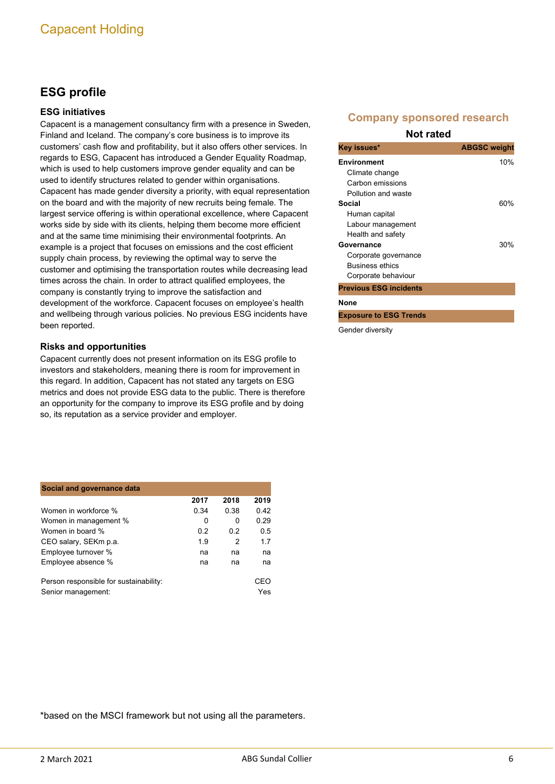# **ESG profile**

### **ESG initiatives**

Capacent is a management consultancy firm with a presence in Sweden, Finland and Iceland. The company's core business is to improve its customers' cash flow and profitability, but it also offers other services. In regards to ESG, Capacent has introduced a Gender Equality Roadmap, which is used to help customers improve gender equality and can be used to identify structures related to gender within organisations. Capacent has made gender diversity a priority, with equal representation on the board and with the majority of new recruits being female. The largest service offering is within operational excellence, where Capacent works side by side with its clients, helping them become more efficient and at the same time minimising their environmental footprints. An example is a project that focuses on emissions and the cost efficient supply chain process, by reviewing the optimal way to serve the customer and optimising the transportation routes while decreasing lead times across the chain. In order to attract qualified employees, the company is constantly trying to improve the satisfaction and development of the workforce. Capacent focuses on employee's health and wellbeing through various policies. No previous ESG incidents have been reported.

### **Risks and opportunities**

Capacent currently does not present information on its ESG profile to investors and stakeholders, meaning there is room for improvement in this regard. In addition, Capacent has not stated any targets on ESG metrics and does not provide ESG data to the public. There is therefore an opportunity for the company to improve its ESG profile and by doing so, its reputation as a service provider and employer.

| Social and governance data             |      |      |      |  |  |  |  |  |  |  |  |
|----------------------------------------|------|------|------|--|--|--|--|--|--|--|--|
|                                        | 2017 | 2018 | 2019 |  |  |  |  |  |  |  |  |
| Women in workforce %                   | 0.34 | 0.38 | 0.42 |  |  |  |  |  |  |  |  |
| Women in management %                  | 0    | 0    | 0.29 |  |  |  |  |  |  |  |  |
| Women in board %                       | 0.2  | 02   | 0.5  |  |  |  |  |  |  |  |  |
| CEO salary, SEKm p.a.                  | 1.9  | 2    | 1.7  |  |  |  |  |  |  |  |  |
| Employee turnover %                    | na   | na   | na   |  |  |  |  |  |  |  |  |
| Employee absence %                     | na   | na   | na   |  |  |  |  |  |  |  |  |
| Person responsible for sustainability: |      |      | CEO  |  |  |  |  |  |  |  |  |
| Senior management:                     |      |      | Yes  |  |  |  |  |  |  |  |  |

## **Company sponsored research**

#### **Not rated**

| Key issues*                   | <b>ABGSC</b> weight |
|-------------------------------|---------------------|
| <b>Environment</b>            | 10%                 |
| Climate change                |                     |
| Carbon emissions              |                     |
| Pollution and waste           |                     |
| Social                        | 60%                 |
| Human capital                 |                     |
| Labour management             |                     |
| Health and safety             |                     |
| Governance                    | 30%                 |
| Corporate governance          |                     |
| <b>Business ethics</b>        |                     |
| Corporate behaviour           |                     |
| <b>Previous ESG incidents</b> |                     |
| None                          |                     |

**Exposure to ESG Trends**

Gender diversity

\*based on the MSCI framework but not using all the parameters.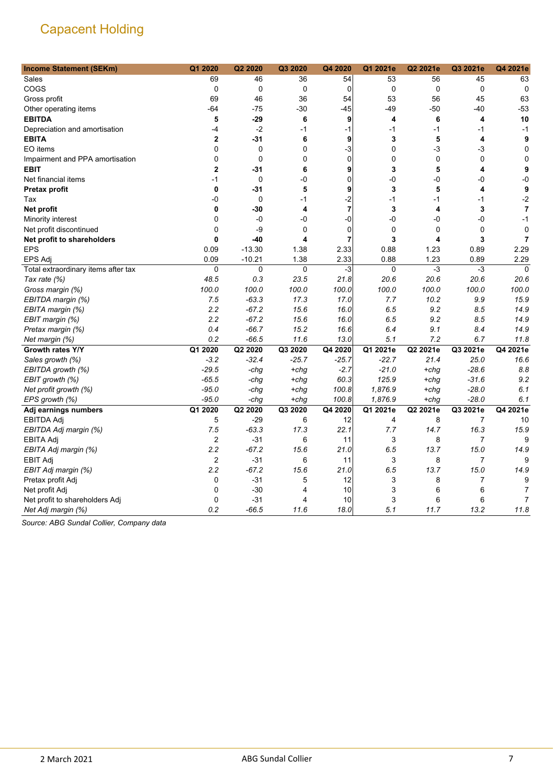| <b>Income Statement (SEKm)</b>      | Q1 2020                 | Q2 2020     | Q3 2020 | Q4 2020        | Q1 2021e    | Q2 2021e    | Q3 2021e    | Q4 2021e       |
|-------------------------------------|-------------------------|-------------|---------|----------------|-------------|-------------|-------------|----------------|
| Sales                               | 69                      | 46          | 36      | 54             | 53          | 56          | 45          | 63             |
| COGS                                | 0                       | $\mathbf 0$ | 0       | $\mathbf 0$    | $\mathbf 0$ | $\mathbf 0$ | $\mathbf 0$ | $\mathbf 0$    |
| Gross profit                        | 69                      | 46          | 36      | 54             | 53          | 56          | 45          | 63             |
| Other operating items               | $-64$                   | $-75$       | -30     | $-45$          | $-49$       | -50         | -40         | $-53$          |
| <b>EBITDA</b>                       | 5                       | $-29$       | 6       | 9              | 4           | 6           | 4           | 10             |
| Depreciation and amortisation       | -4                      | $-2$        | -1      | -1             | $-1$        | $-1$        | $-1$        | $-1$           |
| <b>EBITA</b>                        | $\mathbf 2$             | $-31$       | 6       | 9              | 3           | 5           | 4           | 9              |
| EO items                            | 0                       | 0           | 0       | -3             | $\mathbf 0$ | -3          | -3          | $\mathbf 0$    |
| Impairment and PPA amortisation     | 0                       | $\mathbf 0$ | 0       | $\mathbf 0$    | $\mathbf 0$ | $\mathbf 0$ | $\mathbf 0$ | $\mathbf 0$    |
| <b>EBIT</b>                         | $\mathbf 2$             | $-31$       | 6       | 9              | 3           | 5           | 4           | 9              |
| Net financial items                 | -1                      | $\mathbf 0$ | -0      | $\mathbf 0$    | -0          | -0          | -0          | $-0$           |
| <b>Pretax profit</b>                | 0                       | -31         | 5       | 9              | 3           | 5           | 4           | 9              |
| Tax                                 | -0                      | $\mathbf 0$ | $-1$    | $-2$           | $-1$        | $-1$        | $-1$        | $-2$           |
| Net profit                          | 0                       | -30         | 4       | $\overline{7}$ | 3           | 4           | 3           | $\overline{7}$ |
| Minority interest                   | 0                       | -0          | -0      | -0             | -0          | -0          | -0          | $-1$           |
| Net profit discontinued             | 0                       | -9          | 0       | 0              | 0           | $\Omega$    | 0           | 0              |
| Net profit to shareholders          | 0                       | $-40$       | 4       | 7              | 3           | 4           | 3           | $\overline{7}$ |
| <b>EPS</b>                          | 0.09                    | $-13.30$    | 1.38    | 2.33           | 0.88        | 1.23        | 0.89        | 2.29           |
| <b>EPS Adj</b>                      | 0.09                    | $-10.21$    | 1.38    | 2.33           | 0.88        | 1.23        | 0.89        | 2.29           |
| Total extraordinary items after tax | $\pmb{0}$               | 0           | 0       | $-3$           | $\mathbf 0$ | $-3$        | $-3$        | $\mathbf 0$    |
| Tax rate (%)                        | 48.5                    | 0.3         | 23.5    | 21.8           | 20.6        | 20.6        | 20.6        | 20.6           |
| Gross margin (%)                    | 100.0                   | 100.0       | 100.0   | 100.0          | 100.0       | 100.0       | 100.0       | 100.0          |
| EBITDA margin (%)                   | 7.5                     | $-63.3$     | 17.3    | 17.0           | 7.7         | 10.2        | 9.9         | 15.9           |
| EBITA margin (%)                    | 2.2                     | $-67.2$     | 15.6    | 16.0           | 6.5         | 9.2         | 8.5         | 14.9           |
| EBIT margin (%)                     | 2.2                     | $-67.2$     | 15.6    | 16.0           | 6.5         | 9.2         | 8.5         | 14.9           |
| Pretax margin (%)                   | 0.4                     | $-66.7$     | 15.2    | 16.6           | 6.4         | 9.1         | 8.4         | 14.9           |
| Net margin (%)                      | 0.2                     | $-66.5$     | 11.6    | 13.0           | 5.1         | 7.2         | 6.7         | 11.8           |
| Growth rates Y/Y                    | Q1 2020                 | Q2 2020     | Q3 2020 | Q4 2020        | Q1 2021e    | Q2 2021e    | Q3 2021e    | Q4 2021e       |
| Sales growth (%)                    | $-3.2$                  | $-32.4$     | $-25.7$ | $-25.7$        | $-22.7$     | 21.4        | 25.0        | 16.6           |
| EBITDA growth (%)                   | $-29.5$                 | $-chq$      | $+chg$  | $-2.7$         | $-21.0$     | $+chg$      | $-28.6$     | 8.8            |
| EBIT growth (%)                     | $-65.5$                 | -chg        | $+chg$  | 60.3           | 125.9       | $+chg$      | $-31.6$     | 9.2            |
| Net profit growth (%)               | $-95.0$                 | -chg        | $+chg$  | 100.8          | 1,876.9     | $+chg$      | $-28.0$     | 6.1            |
| EPS growth (%)                      | $-95.0$                 | -chg        | $+chg$  | 100.8          | 1,876.9     | $+chq$      | $-28.0$     | 6.1            |
| Adj earnings numbers                | Q1 2020                 | Q2 2020     | Q3 2020 | Q4 2020        | Q1 2021e    | Q2 2021e    | Q3 2021e    | Q4 2021e       |
| <b>EBITDA Adj</b>                   | 5                       | $-29$       | 6       | 12             | 4           | 8           | 7           | 10             |
| EBITDA Adj margin (%)               | 7.5                     | $-63.3$     | 17.3    | 22.1           | 7.7         | 14.7        | 16.3        | 15.9           |
| <b>EBITA Adj</b>                    | $\overline{\mathbf{c}}$ | $-31$       | 6       | 11             | 3           | 8           | 7           | 9              |
| EBITA Adj margin (%)                | 2.2                     | $-67.2$     | 15.6    | 21.0           | 6.5         | 13.7        | 15.0        | 14.9           |
| <b>EBIT Adj</b>                     | 2                       | $-31$       | 6       | 11             | 3           | 8           | 7           | 9              |
| EBIT Adj margin (%)                 | 2.2                     | $-67.2$     | 15.6    | 21.0           | 6.5         | 13.7        | 15.0        | 14.9           |
| Pretax profit Adj                   | 0                       | $-31$       | 5       | 12             | 3           | 8           | 7           | 9              |
| Net profit Adj                      | 0                       | $-30$       | 4       | 10             | 3           | 6           | 6           | 7              |
| Net profit to shareholders Adj      | 0                       | $-31$       | 4       | 10             | 3           | 6           | 6           | $\overline{7}$ |
| Net Adj margin (%)                  | 0.2                     | $-66.5$     | 11.6    | 18.0           | 5.1         | 11.7        | 13.2        | 11.8           |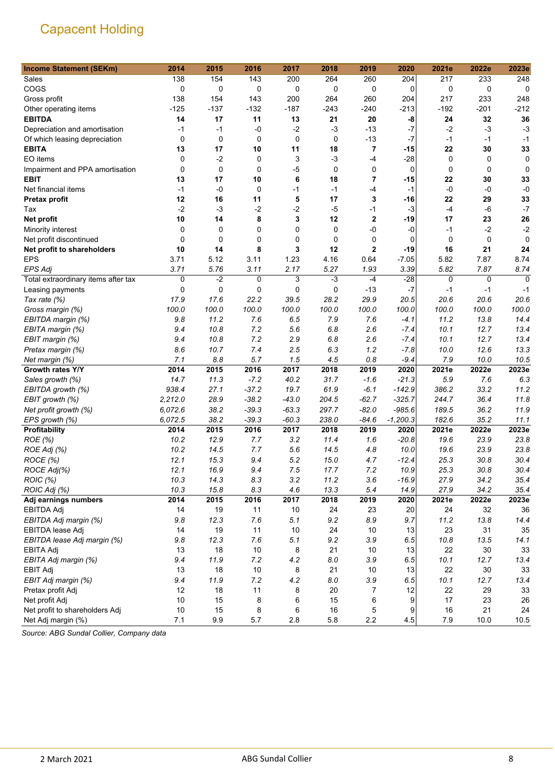| 138<br>154<br>143<br>264<br>217<br>233<br>248<br>Sales<br>200<br>260<br>204<br>COGS<br>0<br>0<br>0<br>0<br>0<br>0<br>$\mathbf 0$<br>0<br>0<br>0<br>138<br>154<br>143<br>200<br>264<br>260<br>217<br>233<br>248<br>204<br>Gross profit<br>$-125$<br>$-137$<br>$-132$<br>$-240$<br>$-192$<br>$-201$<br>$-212$<br>$-187$<br>$-243$<br>$-213$<br>Other operating items<br><b>EBITDA</b><br>21<br>20<br>32<br>36<br>14<br>17<br>11<br>13<br>-8<br>24<br>$-0$<br>$-2$<br>$-3$<br>$-13$<br>$-7$<br>$-2$<br>$-3$<br>$-3$<br>Depreciation and amortisation<br>$-1$<br>$-1$<br>$\pmb{0}$<br>$-7$<br>$\mathbf 0$<br>0<br>0<br>0<br>$-13$<br>$-1$<br>Of which leasing depreciation<br>-1<br>$-1$<br>$\overline{\mathbf{r}}$<br>17<br>11<br>22<br>33<br><b>EBITA</b><br>13<br>10<br>18<br>-15<br>30<br>EO items<br>$\mathbf 0$<br>$-2$<br>3<br>$-3$<br>$-4$<br>$-28$<br>0<br>0<br>0<br>0<br>$\Omega$<br>0<br>-5<br>0<br>0<br>$\mathbf 0$<br>Impairment and PPA amortisation<br>$\Omega$<br>$\mathbf 0$<br>0<br>0<br>6<br>18<br>22<br>33<br><b>EBIT</b><br>13<br>17<br>10<br>7<br>-15<br>30<br>$-1$<br>$-0$<br>0<br>$-1$<br>$-1$<br>$-4$<br>$-1$<br>$-0$<br>$-0$<br>$-0$<br>Net financial items<br>5<br>17<br>12<br>16<br>3<br>22<br>29<br>33<br>11<br>-16<br><b>Pretax profit</b><br>$-2$<br>$-3$<br>$-2$<br>$-2$<br>$-5$<br>$-1$<br>$-3$<br>$-4$<br>$-6$<br>$-7$<br>Tax<br>14<br>8<br>12<br>$\mathbf 2$<br>17<br>26<br>Net profit<br>10<br>3<br>-19<br>23<br>-0<br>0<br>0<br>$-2$<br>$-2$<br>Minority interest<br>0<br>0<br>0<br>-0<br>-1<br>$\mathbf 0$<br>0<br>0<br>0<br>0<br>0<br>0<br>$\Omega$<br>Net profit discontinued<br>$\mathbf 0$<br>0<br>10<br>8<br>3<br>12<br>2<br>$-19$<br>21<br>Net profit to shareholders<br>14<br>16<br>24<br><b>EPS</b><br>3.71<br>$-7.05$<br>7.87<br>8.74<br>5.12<br>3.11<br>1.23<br>4.16<br>0.64<br>5.82<br>3.11<br>5.27<br>5.82<br>8.74<br><b>EPS Adj</b><br>3.71<br>5.76<br>2.17<br>1.93<br>3.39<br>7.87 |
|------------------------------------------------------------------------------------------------------------------------------------------------------------------------------------------------------------------------------------------------------------------------------------------------------------------------------------------------------------------------------------------------------------------------------------------------------------------------------------------------------------------------------------------------------------------------------------------------------------------------------------------------------------------------------------------------------------------------------------------------------------------------------------------------------------------------------------------------------------------------------------------------------------------------------------------------------------------------------------------------------------------------------------------------------------------------------------------------------------------------------------------------------------------------------------------------------------------------------------------------------------------------------------------------------------------------------------------------------------------------------------------------------------------------------------------------------------------------------------------------------------------------------------------------------------------------------------------------------------------------------------------------------------------------------------------------------------------------------------------------------------------------------------------------------------------------------------------------------------------------------------------------------------------------------------|
|                                                                                                                                                                                                                                                                                                                                                                                                                                                                                                                                                                                                                                                                                                                                                                                                                                                                                                                                                                                                                                                                                                                                                                                                                                                                                                                                                                                                                                                                                                                                                                                                                                                                                                                                                                                                                                                                                                                                    |
|                                                                                                                                                                                                                                                                                                                                                                                                                                                                                                                                                                                                                                                                                                                                                                                                                                                                                                                                                                                                                                                                                                                                                                                                                                                                                                                                                                                                                                                                                                                                                                                                                                                                                                                                                                                                                                                                                                                                    |
|                                                                                                                                                                                                                                                                                                                                                                                                                                                                                                                                                                                                                                                                                                                                                                                                                                                                                                                                                                                                                                                                                                                                                                                                                                                                                                                                                                                                                                                                                                                                                                                                                                                                                                                                                                                                                                                                                                                                    |
|                                                                                                                                                                                                                                                                                                                                                                                                                                                                                                                                                                                                                                                                                                                                                                                                                                                                                                                                                                                                                                                                                                                                                                                                                                                                                                                                                                                                                                                                                                                                                                                                                                                                                                                                                                                                                                                                                                                                    |
|                                                                                                                                                                                                                                                                                                                                                                                                                                                                                                                                                                                                                                                                                                                                                                                                                                                                                                                                                                                                                                                                                                                                                                                                                                                                                                                                                                                                                                                                                                                                                                                                                                                                                                                                                                                                                                                                                                                                    |
|                                                                                                                                                                                                                                                                                                                                                                                                                                                                                                                                                                                                                                                                                                                                                                                                                                                                                                                                                                                                                                                                                                                                                                                                                                                                                                                                                                                                                                                                                                                                                                                                                                                                                                                                                                                                                                                                                                                                    |
|                                                                                                                                                                                                                                                                                                                                                                                                                                                                                                                                                                                                                                                                                                                                                                                                                                                                                                                                                                                                                                                                                                                                                                                                                                                                                                                                                                                                                                                                                                                                                                                                                                                                                                                                                                                                                                                                                                                                    |
|                                                                                                                                                                                                                                                                                                                                                                                                                                                                                                                                                                                                                                                                                                                                                                                                                                                                                                                                                                                                                                                                                                                                                                                                                                                                                                                                                                                                                                                                                                                                                                                                                                                                                                                                                                                                                                                                                                                                    |
|                                                                                                                                                                                                                                                                                                                                                                                                                                                                                                                                                                                                                                                                                                                                                                                                                                                                                                                                                                                                                                                                                                                                                                                                                                                                                                                                                                                                                                                                                                                                                                                                                                                                                                                                                                                                                                                                                                                                    |
|                                                                                                                                                                                                                                                                                                                                                                                                                                                                                                                                                                                                                                                                                                                                                                                                                                                                                                                                                                                                                                                                                                                                                                                                                                                                                                                                                                                                                                                                                                                                                                                                                                                                                                                                                                                                                                                                                                                                    |
|                                                                                                                                                                                                                                                                                                                                                                                                                                                                                                                                                                                                                                                                                                                                                                                                                                                                                                                                                                                                                                                                                                                                                                                                                                                                                                                                                                                                                                                                                                                                                                                                                                                                                                                                                                                                                                                                                                                                    |
|                                                                                                                                                                                                                                                                                                                                                                                                                                                                                                                                                                                                                                                                                                                                                                                                                                                                                                                                                                                                                                                                                                                                                                                                                                                                                                                                                                                                                                                                                                                                                                                                                                                                                                                                                                                                                                                                                                                                    |
|                                                                                                                                                                                                                                                                                                                                                                                                                                                                                                                                                                                                                                                                                                                                                                                                                                                                                                                                                                                                                                                                                                                                                                                                                                                                                                                                                                                                                                                                                                                                                                                                                                                                                                                                                                                                                                                                                                                                    |
|                                                                                                                                                                                                                                                                                                                                                                                                                                                                                                                                                                                                                                                                                                                                                                                                                                                                                                                                                                                                                                                                                                                                                                                                                                                                                                                                                                                                                                                                                                                                                                                                                                                                                                                                                                                                                                                                                                                                    |
|                                                                                                                                                                                                                                                                                                                                                                                                                                                                                                                                                                                                                                                                                                                                                                                                                                                                                                                                                                                                                                                                                                                                                                                                                                                                                                                                                                                                                                                                                                                                                                                                                                                                                                                                                                                                                                                                                                                                    |
|                                                                                                                                                                                                                                                                                                                                                                                                                                                                                                                                                                                                                                                                                                                                                                                                                                                                                                                                                                                                                                                                                                                                                                                                                                                                                                                                                                                                                                                                                                                                                                                                                                                                                                                                                                                                                                                                                                                                    |
|                                                                                                                                                                                                                                                                                                                                                                                                                                                                                                                                                                                                                                                                                                                                                                                                                                                                                                                                                                                                                                                                                                                                                                                                                                                                                                                                                                                                                                                                                                                                                                                                                                                                                                                                                                                                                                                                                                                                    |
|                                                                                                                                                                                                                                                                                                                                                                                                                                                                                                                                                                                                                                                                                                                                                                                                                                                                                                                                                                                                                                                                                                                                                                                                                                                                                                                                                                                                                                                                                                                                                                                                                                                                                                                                                                                                                                                                                                                                    |
|                                                                                                                                                                                                                                                                                                                                                                                                                                                                                                                                                                                                                                                                                                                                                                                                                                                                                                                                                                                                                                                                                                                                                                                                                                                                                                                                                                                                                                                                                                                                                                                                                                                                                                                                                                                                                                                                                                                                    |
|                                                                                                                                                                                                                                                                                                                                                                                                                                                                                                                                                                                                                                                                                                                                                                                                                                                                                                                                                                                                                                                                                                                                                                                                                                                                                                                                                                                                                                                                                                                                                                                                                                                                                                                                                                                                                                                                                                                                    |
| $-3$<br>0<br>$-2$<br>3<br>$-4$<br>$-28$<br>$\Omega$<br>Total extraordinary items after tax<br>0<br>0<br>0                                                                                                                                                                                                                                                                                                                                                                                                                                                                                                                                                                                                                                                                                                                                                                                                                                                                                                                                                                                                                                                                                                                                                                                                                                                                                                                                                                                                                                                                                                                                                                                                                                                                                                                                                                                                                          |
| $-7$<br>0<br>0<br>0<br>0<br>0<br>$-13$<br>$-1$<br>$-1$<br>$-1$<br>Leasing payments                                                                                                                                                                                                                                                                                                                                                                                                                                                                                                                                                                                                                                                                                                                                                                                                                                                                                                                                                                                                                                                                                                                                                                                                                                                                                                                                                                                                                                                                                                                                                                                                                                                                                                                                                                                                                                                 |
| 17.9<br>17.6<br>22.2<br>39.5<br>28.2<br>29.9<br>20.6<br>20.6<br>20.6<br>20.5<br>Tax rate (%)                                                                                                                                                                                                                                                                                                                                                                                                                                                                                                                                                                                                                                                                                                                                                                                                                                                                                                                                                                                                                                                                                                                                                                                                                                                                                                                                                                                                                                                                                                                                                                                                                                                                                                                                                                                                                                       |
| 100.0<br>100.0<br>100.0<br>100.0<br>100.0<br>100.0<br>100.0<br>100.0<br>100.0<br>100.0<br>Gross margin (%)                                                                                                                                                                                                                                                                                                                                                                                                                                                                                                                                                                                                                                                                                                                                                                                                                                                                                                                                                                                                                                                                                                                                                                                                                                                                                                                                                                                                                                                                                                                                                                                                                                                                                                                                                                                                                         |
| 11.2<br>7.6<br>11.2<br>13.8<br>14.4<br>EBITDA margin (%)<br>9.8<br>7.6<br>6.5<br>7.9<br>-4.1                                                                                                                                                                                                                                                                                                                                                                                                                                                                                                                                                                                                                                                                                                                                                                                                                                                                                                                                                                                                                                                                                                                                                                                                                                                                                                                                                                                                                                                                                                                                                                                                                                                                                                                                                                                                                                       |
| 9.4<br>10.8<br>7.2<br>5.6<br>6.8<br>2.6<br>10.1<br>13.4<br>EBITA margin (%)<br>$-7.4$<br>12.7                                                                                                                                                                                                                                                                                                                                                                                                                                                                                                                                                                                                                                                                                                                                                                                                                                                                                                                                                                                                                                                                                                                                                                                                                                                                                                                                                                                                                                                                                                                                                                                                                                                                                                                                                                                                                                      |
| 9.4<br>10.8<br>7.2<br>2.9<br>6.8<br>2.6<br>10.1<br>12.7<br>13.4<br>EBIT margin (%)<br>$-7.4$                                                                                                                                                                                                                                                                                                                                                                                                                                                                                                                                                                                                                                                                                                                                                                                                                                                                                                                                                                                                                                                                                                                                                                                                                                                                                                                                                                                                                                                                                                                                                                                                                                                                                                                                                                                                                                       |
| 8.6<br>10.7<br>2.5<br>6.3<br>1.2<br>10.0<br>12.6<br>13.3<br>7.4<br>-7.8<br>Pretax margin (%)                                                                                                                                                                                                                                                                                                                                                                                                                                                                                                                                                                                                                                                                                                                                                                                                                                                                                                                                                                                                                                                                                                                                                                                                                                                                                                                                                                                                                                                                                                                                                                                                                                                                                                                                                                                                                                       |
| 7.1<br>8.8<br>5.7<br>1.5<br>0.8<br>10.0<br>10.5<br>4.5<br>$-9.4$<br>7.9<br>Net margin (%)                                                                                                                                                                                                                                                                                                                                                                                                                                                                                                                                                                                                                                                                                                                                                                                                                                                                                                                                                                                                                                                                                                                                                                                                                                                                                                                                                                                                                                                                                                                                                                                                                                                                                                                                                                                                                                          |
| 2023e<br>2014<br>2016<br>2017<br>2018<br>2021e<br>2022e<br>Growth rates Y/Y<br>2015<br>2019<br>2020                                                                                                                                                                                                                                                                                                                                                                                                                                                                                                                                                                                                                                                                                                                                                                                                                                                                                                                                                                                                                                                                                                                                                                                                                                                                                                                                                                                                                                                                                                                                                                                                                                                                                                                                                                                                                                |
| 31.7<br>6.3<br>14.7<br>11.3<br>$-7.2$<br>40.2<br>5.9<br>7.6<br>Sales growth (%)<br>$-1.6$<br>$-21.3$                                                                                                                                                                                                                                                                                                                                                                                                                                                                                                                                                                                                                                                                                                                                                                                                                                                                                                                                                                                                                                                                                                                                                                                                                                                                                                                                                                                                                                                                                                                                                                                                                                                                                                                                                                                                                               |
| 938.4<br>27.1<br>$-37.2$<br>19.7<br>61.9<br>$-6.1$<br>$-142.9$<br>386.2<br>33.2<br>11.2<br>EBITDA growth (%)                                                                                                                                                                                                                                                                                                                                                                                                                                                                                                                                                                                                                                                                                                                                                                                                                                                                                                                                                                                                                                                                                                                                                                                                                                                                                                                                                                                                                                                                                                                                                                                                                                                                                                                                                                                                                       |
| 11.8<br>2,212.0<br>28.9<br>$-38.2$<br>$-43.0$<br>204.5<br>$-62.7$<br>$-325.7$<br>244.7<br>36.4<br>EBIT growth (%)                                                                                                                                                                                                                                                                                                                                                                                                                                                                                                                                                                                                                                                                                                                                                                                                                                                                                                                                                                                                                                                                                                                                                                                                                                                                                                                                                                                                                                                                                                                                                                                                                                                                                                                                                                                                                  |
| 6,072.6<br>38.2<br>$-39.3$<br>$-63.3$<br>297.7<br>$-82.0$<br>$-985.6$<br>189.5<br>36.2<br>11.9<br>Net profit growth (%)                                                                                                                                                                                                                                                                                                                                                                                                                                                                                                                                                                                                                                                                                                                                                                                                                                                                                                                                                                                                                                                                                                                                                                                                                                                                                                                                                                                                                                                                                                                                                                                                                                                                                                                                                                                                            |
| 6,072.5<br>38.2<br>$-39.3$<br>$-60.3$<br>238.0<br>$-1,200.3$<br>182.6<br>35.2<br>11.1<br>$-84.6$<br>EPS growth (%)                                                                                                                                                                                                                                                                                                                                                                                                                                                                                                                                                                                                                                                                                                                                                                                                                                                                                                                                                                                                                                                                                                                                                                                                                                                                                                                                                                                                                                                                                                                                                                                                                                                                                                                                                                                                                 |
| 2023e<br>Profitability<br>2014<br>2015<br>2016<br>2017<br>2018<br>2019<br>2020<br>2021e<br>2022e                                                                                                                                                                                                                                                                                                                                                                                                                                                                                                                                                                                                                                                                                                                                                                                                                                                                                                                                                                                                                                                                                                                                                                                                                                                                                                                                                                                                                                                                                                                                                                                                                                                                                                                                                                                                                                   |
| 10.2<br>12.9<br>3.2<br>11.4<br>$-20.8$<br>23.9<br>23.8<br>ROE (%)<br>7.7<br>1.6<br>19.6                                                                                                                                                                                                                                                                                                                                                                                                                                                                                                                                                                                                                                                                                                                                                                                                                                                                                                                                                                                                                                                                                                                                                                                                                                                                                                                                                                                                                                                                                                                                                                                                                                                                                                                                                                                                                                            |
| 10.2<br>7.7<br>5.6<br>14.5<br>10.0<br>23.9<br>23.8<br>ROE Adj (%)<br>14.5<br>4.8<br>19.6                                                                                                                                                                                                                                                                                                                                                                                                                                                                                                                                                                                                                                                                                                                                                                                                                                                                                                                                                                                                                                                                                                                                                                                                                                                                                                                                                                                                                                                                                                                                                                                                                                                                                                                                                                                                                                           |
| 12.1<br>15.3<br>5.2<br>15.0<br>25.3<br>30.4<br>ROCE (%)<br>9.4<br>4.7<br>$-12.4$<br>30.8                                                                                                                                                                                                                                                                                                                                                                                                                                                                                                                                                                                                                                                                                                                                                                                                                                                                                                                                                                                                                                                                                                                                                                                                                                                                                                                                                                                                                                                                                                                                                                                                                                                                                                                                                                                                                                           |
| ROCE Adj(%)<br>12.1<br>16.9<br>7.5<br>17.7<br>7.2<br>10.9<br>25.3<br>30.4<br>9.4<br>30.8                                                                                                                                                                                                                                                                                                                                                                                                                                                                                                                                                                                                                                                                                                                                                                                                                                                                                                                                                                                                                                                                                                                                                                                                                                                                                                                                                                                                                                                                                                                                                                                                                                                                                                                                                                                                                                           |
| ROIC (%)<br>10.3<br>14.3<br>8.3<br>3.2<br>11.2<br>3.6<br>$-16.9$<br>27.9<br>34.2<br>35.4                                                                                                                                                                                                                                                                                                                                                                                                                                                                                                                                                                                                                                                                                                                                                                                                                                                                                                                                                                                                                                                                                                                                                                                                                                                                                                                                                                                                                                                                                                                                                                                                                                                                                                                                                                                                                                           |
| 10.3<br>15.8<br>8.3<br>4.6<br>13.3<br>5.4<br>14.9<br>27.9<br>34.2<br>35.4<br>ROIC Adj (%)                                                                                                                                                                                                                                                                                                                                                                                                                                                                                                                                                                                                                                                                                                                                                                                                                                                                                                                                                                                                                                                                                                                                                                                                                                                                                                                                                                                                                                                                                                                                                                                                                                                                                                                                                                                                                                          |
| 2014<br>2015<br>2018<br>2023e<br>2016<br>2017<br>2019<br>2020<br>2021e<br>2022e<br>Adj earnings numbers                                                                                                                                                                                                                                                                                                                                                                                                                                                                                                                                                                                                                                                                                                                                                                                                                                                                                                                                                                                                                                                                                                                                                                                                                                                                                                                                                                                                                                                                                                                                                                                                                                                                                                                                                                                                                            |
| 32<br><b>EBITDA Adj</b><br>14<br>19<br>11<br>10<br>24<br>23<br>20<br>24<br>36                                                                                                                                                                                                                                                                                                                                                                                                                                                                                                                                                                                                                                                                                                                                                                                                                                                                                                                                                                                                                                                                                                                                                                                                                                                                                                                                                                                                                                                                                                                                                                                                                                                                                                                                                                                                                                                      |
| 9.8<br>12.3<br>7.6<br>5.1<br>9.2<br>8.9<br>9.7<br>11.2<br>EBITDA Adj margin (%)<br>13.8<br>14.4                                                                                                                                                                                                                                                                                                                                                                                                                                                                                                                                                                                                                                                                                                                                                                                                                                                                                                                                                                                                                                                                                                                                                                                                                                                                                                                                                                                                                                                                                                                                                                                                                                                                                                                                                                                                                                    |
| 14<br>19<br>11<br>10<br>24<br>10<br>13<br>23<br>31<br>$35\,$<br>EBITDA lease Adj                                                                                                                                                                                                                                                                                                                                                                                                                                                                                                                                                                                                                                                                                                                                                                                                                                                                                                                                                                                                                                                                                                                                                                                                                                                                                                                                                                                                                                                                                                                                                                                                                                                                                                                                                                                                                                                   |
| 9.8<br>12.3<br>7.6<br>5.1<br>9.2<br>3.9<br>6.5<br>10.8<br>14.1<br>EBITDA lease Adj margin (%)<br>13.5                                                                                                                                                                                                                                                                                                                                                                                                                                                                                                                                                                                                                                                                                                                                                                                                                                                                                                                                                                                                                                                                                                                                                                                                                                                                                                                                                                                                                                                                                                                                                                                                                                                                                                                                                                                                                              |
| 18<br>$10$<br>8<br>21<br>13<br>22<br>$30\,$<br>33<br><b>EBITA Adj</b><br>13<br>10                                                                                                                                                                                                                                                                                                                                                                                                                                                                                                                                                                                                                                                                                                                                                                                                                                                                                                                                                                                                                                                                                                                                                                                                                                                                                                                                                                                                                                                                                                                                                                                                                                                                                                                                                                                                                                                  |
| 9.4<br>4.2<br>8.0<br>3.9<br>6.5<br>EBITA Adj margin (%)<br>11.9<br>7.2<br>10.1<br>12.7<br>13.4                                                                                                                                                                                                                                                                                                                                                                                                                                                                                                                                                                                                                                                                                                                                                                                                                                                                                                                                                                                                                                                                                                                                                                                                                                                                                                                                                                                                                                                                                                                                                                                                                                                                                                                                                                                                                                     |
| 13<br>18<br>$10$<br>8<br>21<br>10<br>13<br>22<br>$30\,$<br>33<br><b>EBIT Adj</b>                                                                                                                                                                                                                                                                                                                                                                                                                                                                                                                                                                                                                                                                                                                                                                                                                                                                                                                                                                                                                                                                                                                                                                                                                                                                                                                                                                                                                                                                                                                                                                                                                                                                                                                                                                                                                                                   |
| 4.2<br>9.4<br>11.9<br>7.2<br>8.0<br>3.9<br>6.5<br>10.1<br>12.7<br>13.4<br>EBIT Adj margin (%)                                                                                                                                                                                                                                                                                                                                                                                                                                                                                                                                                                                                                                                                                                                                                                                                                                                                                                                                                                                                                                                                                                                                                                                                                                                                                                                                                                                                                                                                                                                                                                                                                                                                                                                                                                                                                                      |
| 12<br>8<br>20<br>12<br>29<br>33<br>Pretax profit Adj<br>18<br>11<br>7<br>22                                                                                                                                                                                                                                                                                                                                                                                                                                                                                                                                                                                                                                                                                                                                                                                                                                                                                                                                                                                                                                                                                                                                                                                                                                                                                                                                                                                                                                                                                                                                                                                                                                                                                                                                                                                                                                                        |
| 9<br>23<br>26<br>Net profit Adj<br>10<br>15<br>8<br>6<br>15<br>6<br>17                                                                                                                                                                                                                                                                                                                                                                                                                                                                                                                                                                                                                                                                                                                                                                                                                                                                                                                                                                                                                                                                                                                                                                                                                                                                                                                                                                                                                                                                                                                                                                                                                                                                                                                                                                                                                                                             |
| Net profit to shareholders Adj<br>10<br>15<br>8<br>16<br>5<br>9<br>16<br>21<br>24<br>6                                                                                                                                                                                                                                                                                                                                                                                                                                                                                                                                                                                                                                                                                                                                                                                                                                                                                                                                                                                                                                                                                                                                                                                                                                                                                                                                                                                                                                                                                                                                                                                                                                                                                                                                                                                                                                             |
| $9.9\,$<br>5.8<br>2.2<br>$7.9\,$<br>$10.5$<br>Net Adj margin (%)<br>7.1<br>$5.7\,$<br>2.8<br>4.5<br>10.0                                                                                                                                                                                                                                                                                                                                                                                                                                                                                                                                                                                                                                                                                                                                                                                                                                                                                                                                                                                                                                                                                                                                                                                                                                                                                                                                                                                                                                                                                                                                                                                                                                                                                                                                                                                                                           |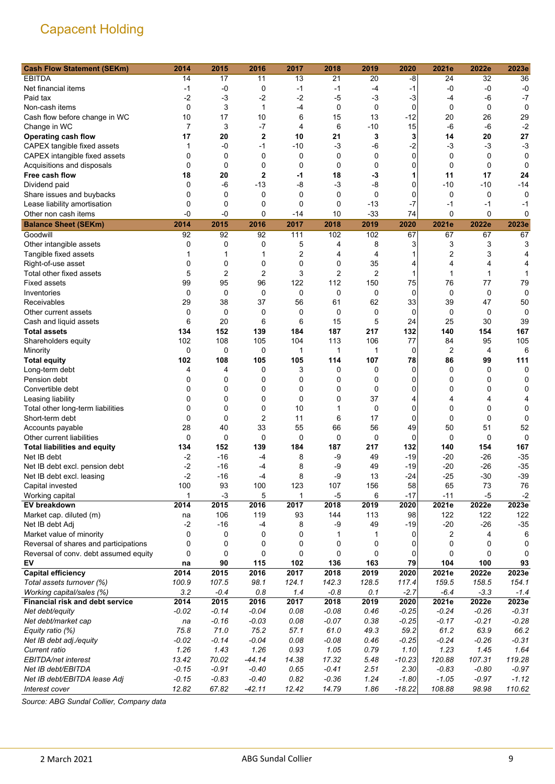| <b>Cash Flow Statement (SEKm)</b>     | 2014           | 2015           | 2016           | 2017        | 2018        | 2019           | 2020        | 2021e   | 2022e       | 2023e   |
|---------------------------------------|----------------|----------------|----------------|-------------|-------------|----------------|-------------|---------|-------------|---------|
| <b>EBITDA</b>                         | 14             | 17             | 11             | 13          | 21          | 20             | -8          | 24      | 32          | 36      |
| Net financial items                   | -1             | $-0$           | 0              | -1          | $-1$        | -4             | $-1$        | -0      | $-0$        | $-0$    |
| Paid tax                              | $-2$           | $-3$           | $-2$           | $-2$        | $-5$        | $-3$           | $-3$        | $-4$    | -6          | $-7$    |
| Non-cash items                        | $\mathbf 0$    | 3              | 1              | -4          | $\mathbf 0$ | $\mathbf 0$    | $\mathbf 0$ | 0       | 0           | 0       |
| Cash flow before change in WC         | 10             | 17             | 10             | 6           | 15          | 13             | $-12$       | 20      | 26          | 29      |
| Change in WC                          | $\overline{7}$ | 3              | $-7$           | 4           | 6           | $-10$          | 15          | -6      | $-6$        | $-2$    |
| <b>Operating cash flow</b>            | 17             | 20             | $\mathbf{2}$   | 10          | 21          | 3              | 3           | 14      | 20          | 27      |
| CAPEX tangible fixed assets           | 1              | -0             | $-1$           | -10         | -3          | $-6$           | $-2$        | -3      | -3          | $-3$    |
| CAPEX intangible fixed assets         | 0              | $\mathbf 0$    | 0              | 0           | 0           | 0              | 0           | 0       | 0           | 0       |
| Acquisitions and disposals            | $\mathbf 0$    | $\mathbf 0$    | $\mathbf 0$    | 0           | 0           | 0              | 0           | 0       | $\mathbf 0$ | 0       |
| Free cash flow                        | 18             | 20             | $\overline{2}$ | -1          | 18          | -3             | 1           | 11      | 17          | 24      |
| Dividend paid                         | 0              | $-6$           | $-13$          | -8          | $-3$        | $-8$           | 0           | $-10$   | $-10$       | $-14$   |
| Share issues and buybacks             | 0              | $\mathbf 0$    | 0              | $\mathbf 0$ | 0           | $\mathbf 0$    | 0           | 0       | 0           | 0       |
| Lease liability amortisation          | 0              | 0              | $\mathbf 0$    | 0           | 0           | $-13$          | $-7$        | $-1$    | $-1$        | -1      |
| Other non cash items                  | -0             | $-0$           | $\mathbf 0$    | -14         | 10          | $-33$          | 74          | 0       | $\mathbf 0$ | 0       |
| <b>Balance Sheet (SEKm)</b>           | 2014           | 2015           | 2016           | 2017        | 2018        | 2019           | 2020        | 2021e   | 2022e       | 2023e   |
| Goodwill                              | 92             | 92             | 92             | 111         | 102         | 102            | 67          | 67      | 67          | 67      |
| Other intangible assets               | 0              | $\mathbf 0$    | 0              | 5           | 4           | 8              | 3           | 3       | 3           | 3       |
| Tangible fixed assets                 | 1              | 1              | 1              | 2           | 4           | 4              | 1           | 2       | 3           | 4       |
| Right-of-use asset                    | 0              | 0              | 0              | 0           | 0           | 35             | 4           | 4       | 4           | 4       |
| Total other fixed assets              | 5              | $\overline{2}$ | $\overline{2}$ | 3           | 2           | $\overline{c}$ | 1           | 1       | 1           |         |
| <b>Fixed assets</b>                   | 99             | 95             | 96             | 122         | 112         | 150            | 75          | 76      | 77          | 79      |
| Inventories                           | $\mathbf 0$    | $\mathbf 0$    | $\mathbf 0$    | $\mathbf 0$ | 0           | $\mathbf 0$    | $\mathbf 0$ | 0       | 0           | 0       |
| Receivables                           | 29             | 38             | 37             | 56          | 61          | 62             | 33          | 39      | 47          | 50      |
| Other current assets                  | 0              | 0              | 0              | 0           | 0           | 0              | 0           | 0       | 0           | 0       |
| Cash and liquid assets                | 6              | 20             | 6              | 6           | 15          | 5              | 24          | 25      | 30          | 39      |
| <b>Total assets</b>                   | 134            | 152            | 139            | 184         | 187         | 217            | 132         | 140     | 154         | 167     |
| Shareholders equity                   | 102            | 108            | 105            | 104         | 113         | 106            | 77          | 84      | 95          | 105     |
| Minority                              | 0              | $\mathbf 0$    | 0              | 1           | 1           | 1              | 0           | 2       | 4           | 6       |
| <b>Total equity</b>                   | 102            | 108            | 105            | 105         | 114         | 107            | 78          | 86      | 99          | 111     |
| Long-term debt                        | 4              | 4              | 0              | 3           | 0           | 0              | $\Omega$    | 0       | 0           | 0       |
| Pension debt                          | 0              | 0              | 0              | 0           | 0           | 0              | 0           | 0       | 0           | 0       |
| Convertible debt                      | 0              | 0              | 0              | 0           | 0           | $\mathbf 0$    | 0           | 0       | 0           | 0       |
| Leasing liability                     | 0              | $\mathbf 0$    | 0              | 0           | 0           | 37             | 4           | 4       | 4           | 4       |
| Total other long-term liabilities     | 0              | $\mathbf 0$    | 0              | 10          | 1           | 0              | 0           | 0       | 0           | 0       |
| Short-term debt                       | 0              | $\mathbf 0$    | $\overline{2}$ | 11          | 6           | 17             | 0           | 0       | $\mathbf 0$ | 0       |
| Accounts payable                      | 28             | 40             | 33             | 55          | 66          | 56             | 49          | 50      | 51          | 52      |
| Other current liabilities             | $\mathbf 0$    | $\mathbf 0$    | 0              | 0           | 0           | 0              | $\mathbf 0$ | 0       | $\mathbf 0$ | 0       |
| <b>Total liabilities and equity</b>   | 134            | 152            | 139            | 184         | 187         | 217            | 132         | 140     | 154         | 167     |
| Net IB debt                           | $-2$           | $-16$          | $-4$           | 8           | -9          | 49             | $-19$       | -20     | $-26$       | $-35$   |
| Net IB debt excl. pension debt        | $-2$           | $-16$          | -4             | 8           | -9          | 49             | $-19$       | $-20$   | $-26$       | $-35$   |
| Net IB debt excl. leasing             | $-2$           | $-16$          | -4             | 8           | -9          | 13             | $-24$       | $-25$   | $-30$       | $-39$   |
| Capital invested                      | 100            | 93             | 100            | 123         | 107         | 156            | 58          | 65      | 73          | 76      |
| Working capital                       | 1              | $-3$           | 5              | 1           | $-5$        | 6              | $-17$       | $-11$   | $-5$        | $-2$    |
| EV breakdown                          | 2014           | 2015           | 2016           | 2017        | 2018        | 2019           | 2020        | 2021e   | 2022e       | 2023e   |
| Market cap. diluted (m)               | na             | 106            | 119            | 93          | 144         | 113            | 98          | 122     | 122         | 122     |
| Net IB debt Adj                       | $-2$           | $-16$          | $-4$           | 8           | $-9$        | 49             | $-19$       | $-20$   | $-26$       | $-35$   |
| Market value of minority              | 0              | 0              | 0              | 0           | 1           | 1              | 0           | 2       | 4           | 6       |
| Reversal of shares and participations | 0              | 0              | 0              | 0           | 0           | 0              | 0           | 0       | 0           | 0       |
| Reversal of conv. debt assumed equity | 0              | 0              | 0              | 0           | 0           | 0              | 0           | 0       | 0           | 0       |
| EV                                    | na             | 90             | 115            | 102         | 136         | 163            | 79          | 104     | 100         | 93      |
| <b>Capital efficiency</b>             | 2014           | 2015           | 2016           | 2017        | 2018        | 2019           | 2020        | 2021e   | 2022e       | 2023e   |
| Total assets turnover (%)             | 100.9          | 107.5          | 98.1           | 124.1       | 142.3       | 128.5          | 117.4       | 159.5   | 158.5       | 154.1   |
| Working capital/sales (%)             | 3.2            | $-0.4$         | 0.8            | 1.4         | $-0.8$      | 0.1            | $-2.7$      | $-6.4$  | $-3.3$      | $-1.4$  |
| Financial risk and debt service       | 2014           | 2015           | 2016           | 2017        | 2018        | 2019           | 2020        | 2021e   | 2022e       | 2023e   |
| Net debt/equity                       | $-0.02$        | $-0.14$        | $-0.04$        | 0.08        | $-0.08$     | 0.46           | $-0.25$     | $-0.24$ | $-0.26$     | $-0.31$ |
| Net debt/market cap                   | na             | $-0.16$        | $-0.03$        | 0.08        | $-0.07$     | 0.38           | $-0.25$     | $-0.17$ | $-0.21$     | $-0.28$ |
| Equity ratio (%)                      | 75.8           | 71.0           | 75.2           | 57.1        | 61.0        | 49.3           | 59.2        | 61.2    | 63.9        | 66.2    |
| Net IB debt adj./equity               | $-0.02$        | $-0.14$        | $-0.04$        | 0.08        | $-0.08$     | 0.46           | $-0.25$     | $-0.24$ | $-0.26$     | $-0.31$ |
| Current ratio                         | 1.26           | 1.43           | 1.26           | 0.93        | 1.05        | 0.79           | 1.10        | 1.23    | 1.45        | 1.64    |
| EBITDA/net interest                   | 13.42          | 70.02          | $-44.14$       | 14.38       | 17.32       | 5.48           | $-10.23$    | 120.88  | 107.31      | 119.28  |
| Net IB debt/EBITDA                    | $-0.15$        | $-0.91$        | $-0.40$        | 0.65        | $-0.41$     | 2.51           | 2.30        | $-0.83$ | $-0.80$     | $-0.97$ |
| Net IB debt/EBITDA lease Adj          | $-0.15$        | $-0.83$        | $-0.40$        | 0.82        | $-0.36$     | 1.24           | $-1.80$     | $-1.05$ | $-0.97$     | $-1.12$ |
| Interest cover                        | 12.82          | 67.82          | $-42.11$       | 12.42       | 14.79       | 1.86           | $-18.22$    | 108.88  | 98.98       | 110.62  |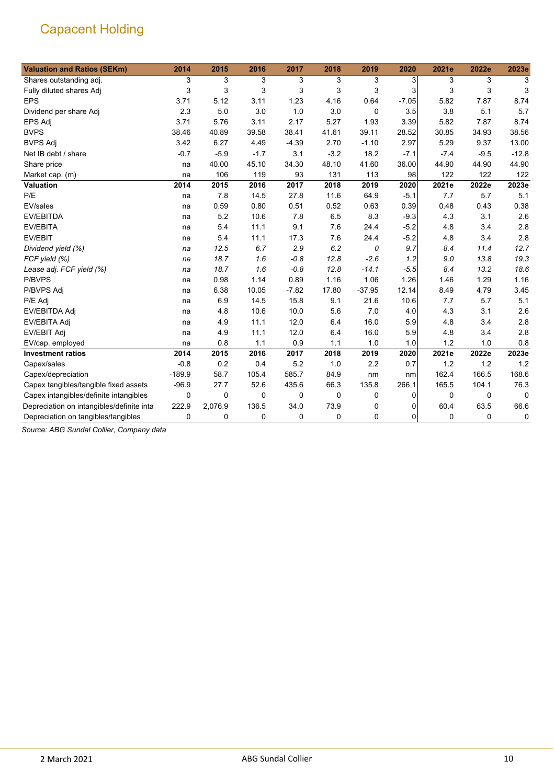| <b>Valuation and Ratios (SEKm)</b>         | 2014     | 2015     | 2016        | 2017        | 2018        | 2019     | 2020    | 2021e    | 2022e       | 2023e    |
|--------------------------------------------|----------|----------|-------------|-------------|-------------|----------|---------|----------|-------------|----------|
| Shares outstanding adj.                    | 3        | 3        | 3           | 3           | 3           | 3        | 3       | 3        | 3           | 3        |
| Fully diluted shares Adj                   | 3        | 3        | 3           | 3           | 3           | 3        | 3       | 3        | 3           | 3        |
| <b>EPS</b>                                 | 3.71     | 5.12     | 3.11        | 1.23        | 4.16        | 0.64     | $-7.05$ | 5.82     | 7.87        | 8.74     |
| Dividend per share Adj                     | 2.3      | 5.0      | 3.0         | 1.0         | 3.0         | 0        | 3.5     | 3.8      | 5.1         | 5.7      |
| EPS Adj                                    | 3.71     | 5.76     | 3.11        | 2.17        | 5.27        | 1.93     | 3.39    | 5.82     | 7.87        | 8.74     |
| <b>BVPS</b>                                | 38.46    | 40.89    | 39.58       | 38.41       | 41.61       | 39.11    | 28.52   | 30.85    | 34.93       | 38.56    |
| <b>BVPS Adj</b>                            | 3.42     | 6.27     | 4.49        | $-4.39$     | 2.70        | $-1.10$  | 2.97    | 5.29     | 9.37        | 13.00    |
| Net IB debt / share                        | $-0.7$   | $-5.9$   | $-1.7$      | 3.1         | $-3.2$      | 18.2     | $-7.1$  | $-7.4$   | $-9.5$      | $-12.8$  |
| Share price                                | na       | 40.00    | 45.10       | 34.30       | 48.10       | 41.60    | 36.00   | 44.90    | 44.90       | 44.90    |
| Market cap. (m)                            | na       | 106      | 119         | 93          | 131         | 113      | 98      | 122      | 122         | 122      |
| <b>Valuation</b>                           | 2014     | 2015     | 2016        | 2017        | 2018        | 2019     | 2020    | 2021e    | 2022e       | 2023e    |
| P/E                                        | na       | 7.8      | 14.5        | 27.8        | 11.6        | 64.9     | $-5.1$  | 7.7      | 5.7         | 5.1      |
| EV/sales                                   | na       | 0.59     | 0.80        | 0.51        | 0.52        | 0.63     | 0.39    | 0.48     | 0.43        | 0.38     |
| <b>EV/EBITDA</b>                           | na       | 5.2      | 10.6        | 7.8         | 6.5         | 8.3      | $-9.3$  | 4.3      | 3.1         | 2.6      |
| EV/EBITA                                   | na       | 5.4      | 11.1        | 9.1         | 7.6         | 24.4     | $-5.2$  | 4.8      | 3.4         | 2.8      |
| EV/EBIT                                    | na       | 5.4      | 11.1        | 17.3        | 7.6         | 24.4     | $-5.2$  | 4.8      | 3.4         | 2.8      |
| Dividend yield (%)                         | na       | 12.5     | 6.7         | 2.9         | 6.2         | 0        | 9.7     | 8.4      | 11.4        | 12.7     |
| FCF yield (%)                              | na       | 18.7     | 1.6         | $-0.8$      | 12.8        | $-2.6$   | 1.2     | 9.0      | 13.8        | 19.3     |
| Lease adj. FCF yield (%)                   | na       | 18.7     | 1.6         | $-0.8$      | 12.8        | $-14.1$  | $-5.5$  | 8.4      | 13.2        | 18.6     |
| P/BVPS                                     | na       | 0.98     | 1.14        | 0.89        | 1.16        | 1.06     | 1.26    | 1.46     | 1.29        | 1.16     |
| P/BVPS Adj                                 | na       | 6.38     | 10.05       | $-7.82$     | 17.80       | $-37.95$ | 12.14   | 8.49     | 4.79        | 3.45     |
| P/E Adj                                    | na       | 6.9      | 14.5        | 15.8        | 9.1         | 21.6     | 10.6    | 7.7      | 5.7         | 5.1      |
| EV/EBITDA Adj                              | na       | 4.8      | 10.6        | 10.0        | 5.6         | 7.0      | 4.0     | 4.3      | 3.1         | 2.6      |
| EV/EBITA Adj                               | na       | 4.9      | 11.1        | 12.0        | 6.4         | 16.0     | 5.9     | 4.8      | 3.4         | 2.8      |
| <b>EV/EBIT Adj</b>                         | na       | 4.9      | 11.1        | 12.0        | 6.4         | 16.0     | 5.9     | 4.8      | 3.4         | 2.8      |
| EV/cap. employed                           | na       | 0.8      | 1.1         | 0.9         | 1.1         | 1.0      | 1.0     | 1.2      | 1.0         | 0.8      |
| <b>Investment ratios</b>                   | 2014     | 2015     | 2016        | 2017        | 2018        | 2019     | 2020    | 2021e    | 2022e       | 2023e    |
| Capex/sales                                | $-0.8$   | 0.2      | 0.4         | 5.2         | 1.0         | 2.2      | 0.7     | 1.2      | 1.2         | 1.2      |
| Capex/depreciation                         | $-189.9$ | 58.7     | 105.4       | 585.7       | 84.9        | nm       | nm      | 162.4    | 166.5       | 168.6    |
| Capex tangibles/tangible fixed assets      | $-96.9$  | 27.7     | 52.6        | 435.6       | 66.3        | 135.8    | 266.1   | 165.5    | 104.1       | 76.3     |
| Capex intangibles/definite intangibles     | 0        | $\Omega$ | $\Omega$    | $\mathbf 0$ | $\mathbf 0$ | 0        | 0       | $\Omega$ | $\mathbf 0$ | $\Omega$ |
| Depreciation on intangibles/definite intar | 222.9    | 2,076.9  | 136.5       | 34.0        | 73.9        | 0        | 0       | 60.4     | 63.5        | 66.6     |
| Depreciation on tangibles/tangibles        | 0        | 0        | $\mathbf 0$ | 0           | $\mathbf 0$ | 0        | 0       | 0        | 0           | 0        |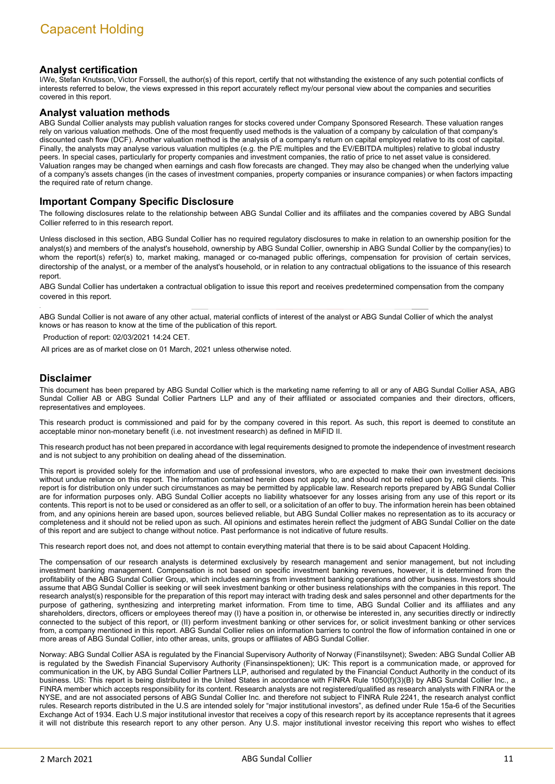### **Analyst certification**

I/We, Stefan Knutsson, Victor Forssell, the author(s) of this report, certify that not withstanding the existence of any such potential conflicts of interests referred to below, the views expressed in this report accurately reflect my/our personal view about the companies and securities covered in this report.

#### **Analyst valuation methods**

ABG Sundal Collier analysts may publish valuation ranges for stocks covered under Company Sponsored Research. These valuation ranges rely on various valuation methods. One of the most frequently used methods is the valuation of a company by calculation of that company's discounted cash flow (DCF). Another valuation method is the analysis of a company's return on capital employed relative to its cost of capital. Finally, the analysts may analyse various valuation multiples (e.g. the P/E multiples and the EV/EBITDA multiples) relative to global industry peers. In special cases, particularly for property companies and investment companies, the ratio of price to net asset value is considered. Valuation ranges may be changed when earnings and cash flow forecasts are changed. They may also be changed when the underlying value of a company's assets changes (in the cases of investment companies, property companies or insurance companies) or when factors impacting the required rate of return change.

### **Important Company Specific Disclosure**

The following disclosures relate to the relationship between ABG Sundal Collier and its affiliates and the companies covered by ABG Sundal Collier referred to in this research report.

Unless disclosed in this section, ABG Sundal Collier has no required regulatory disclosures to make in relation to an ownership position for the analyst(s) and members of the analyst's household, ownership by ABG Sundal Collier, ownership in ABG Sundal Collier by the company(ies) to whom the report(s) refer(s) to, market making, managed or co-managed public offerings, compensation for provision of certain services, directorship of the analyst, or a member of the analyst's household, or in relation to any contractual obligations to the issuance of this research report.

ABG Sundal Collier has undertaken a contractual obligation to issue this report and receives predetermined compensation from the company covered in this report.

ABG Sundal Collier is not aware of any other actual, material conflicts of interest of the analyst or ABG Sundal Collier of which the analyst knows or has reason to know at the time of the publication of this report.

Production of report: 02/03/2021 14:24 CET.

All prices are as of market close on 01 March, 2021 unless otherwise noted.

### **Disclaimer**

This document has been prepared by ABG Sundal Collier which is the marketing name referring to all or any of ABG Sundal Collier ASA, ABG Sundal Collier AB or ABG Sundal Collier Partners LLP and any of their affiliated or associated companies and their directors, officers, representatives and employees.

This research product is commissioned and paid for by the company covered in this report. As such, this report is deemed to constitute an acceptable minor non-monetary benefit (i.e. not investment research) as defined in MiFID II.

This research product has not been prepared in accordance with legal requirements designed to promote the independence of investment research and is not subject to any prohibition on dealing ahead of the dissemination.

This report is provided solely for the information and use of professional investors, who are expected to make their own investment decisions without undue reliance on this report. The information contained herein does not apply to, and should not be relied upon by, retail clients. This report is for distribution only under such circumstances as may be permitted by applicable law. Research reports prepared by ABG Sundal Collier are for information purposes only. ABG Sundal Collier accepts no liability whatsoever for any losses arising from any use of this report or its contents. This report is not to be used or considered as an offer to sell, or a solicitation of an offer to buy. The information herein has been obtained from, and any opinions herein are based upon, sources believed reliable, but ABG Sundal Collier makes no representation as to its accuracy or completeness and it should not be relied upon as such. All opinions and estimates herein reflect the judgment of ABG Sundal Collier on the date of this report and are subject to change without notice. Past performance is not indicative of future results.

This research report does not, and does not attempt to contain everything material that there is to be said about Capacent Holding.

The compensation of our research analysts is determined exclusively by research management and senior management, but not including investment banking management. Compensation is not based on specific investment banking revenues, however, it is determined from the profitability of the ABG Sundal Collier Group, which includes earnings from investment banking operations and other business. Investors should assume that ABG Sundal Collier is seeking or will seek investment banking or other business relationships with the companies in this report. The research analyst(s) responsible for the preparation of this report may interact with trading desk and sales personnel and other departments for the purpose of gathering, synthesizing and interpreting market information. From time to time, ABG Sundal Collier and its affiliates and any shareholders, directors, officers or employees thereof may (I) have a position in, or otherwise be interested in, any securities directly or indirectly connected to the subject of this report, or (II) perform investment banking or other services for, or solicit investment banking or other services from, a company mentioned in this report. ABG Sundal Collier relies on information barriers to control the flow of information contained in one or more areas of ABG Sundal Collier, into other areas, units, groups or affiliates of ABG Sundal Collier.

Norway: ABG Sundal Collier ASA is regulated by the Financial Supervisory Authority of Norway (Finanstilsynet); Sweden: ABG Sundal Collier AB is regulated by the Swedish Financial Supervisory Authority (Finansinspektionen); UK: This report is a communication made, or approved for communication in the UK, by ABG Sundal Collier Partners LLP, authorised and regulated by the Financial Conduct Authority in the conduct of its business. US: This report is being distributed in the United States in accordance with FINRA Rule 1050(f)(3)(B) by ABG Sundal Collier Inc., a FINRA member which accepts responsibility for its content. Research analysts are not registered/qualified as research analysts with FINRA or the NYSE, and are not associated persons of ABG Sundal Collier Inc. and therefore not subject to FINRA Rule 2241, the research analyst conflict rules. Research reports distributed in the U.S are intended solely for "major institutional investors", as defined under Rule 15a-6 of the Securities Exchange Act of 1934. Each U.S major institutional investor that receives a copy of this research report by its acceptance represents that it agrees it will not distribute this research report to any other person. Any U.S. major institutional investor receiving this report who wishes to effect